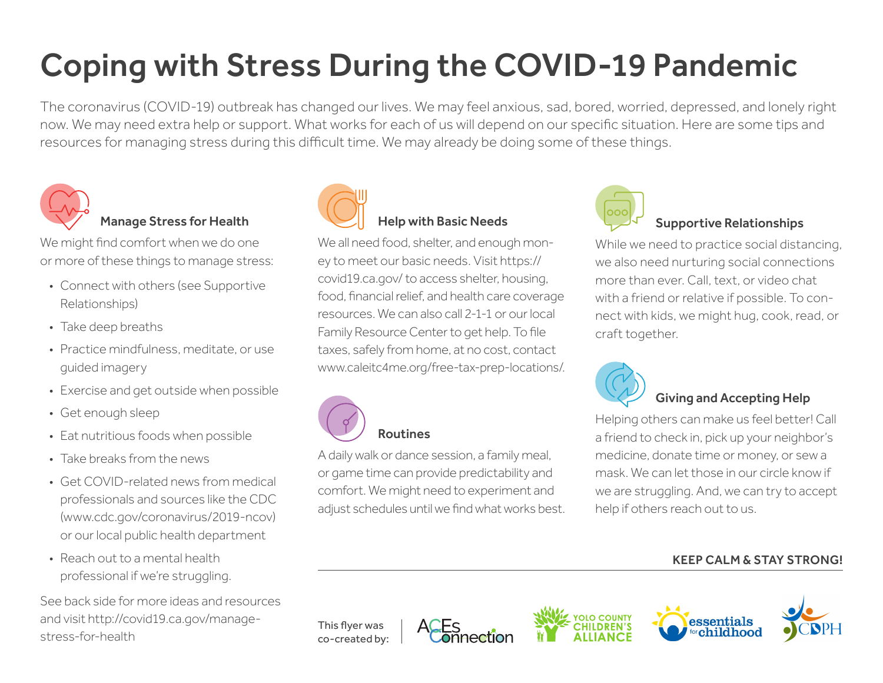# Coping with Stress During the COVID-19 Pandemic

The coronavirus (COVID-19) outbreak has changed our lives. We may feel anxious, sad, bored, worried, depressed, and lonely right now. We may need extra help or support. What works for each of us will depend on our specific situation. Here are some tips and resources for managing stress during this difficult time. We may already be doing some of these things.



#### Manage Stress for Health

We might find comfort when we do one or more of these things to manage stress:

- Connect with others (see Supportive Relationships)
- Take deep breaths
- Practice mindfulness, meditate, or use guided imagery
- Exercise and get outside when possible
- Get enough sleep
- Eat nutritious foods when possible
- Take breaks from the news
- Get COVID-related news from medical professionals and sources like the CDC (www.cdc.gov/coronavirus/2019-ncov) or our local public health department
- Reach out to a mental health professional if we're struggling.

See back side for more ideas and resources and visit http://covid19.ca.gov/managestress-for-health



#### Help with Basic Needs

We all need food, shelter, and enough money to meet our basic needs. Visit https:// covid19.ca.gov/ to access shelter, housing, food, financial relief, and health care coverage resources. We can also call 2-1-1 or our local Family Resource Center to get help. To file taxes, safely from home, at no cost, contact www.caleitc4me.org/free-tax-prep-locations/.



#### Routines

A daily walk or dance session, a family meal, or game time can provide predictability and comfort. We might need to experiment and adjust schedules until we find what works best.



#### Supportive Relationships

While we need to practice social distancing, we also need nurturing social connections more than ever. Call, text, or video chat with a friend or relative if possible. To connect with kids, we might hug, cook, read, or craft together.



#### Giving and Accepting Help

Helping others can make us feel better! Call a friend to check in, pick up your neighbor's medicine, donate time or money, or sew a mask. We can let those in our circle know if we are struggling. And, we can try to accept help if others reach out to us.

#### KEEP CALM & STAY STRONG!





This flyer was co-created by: